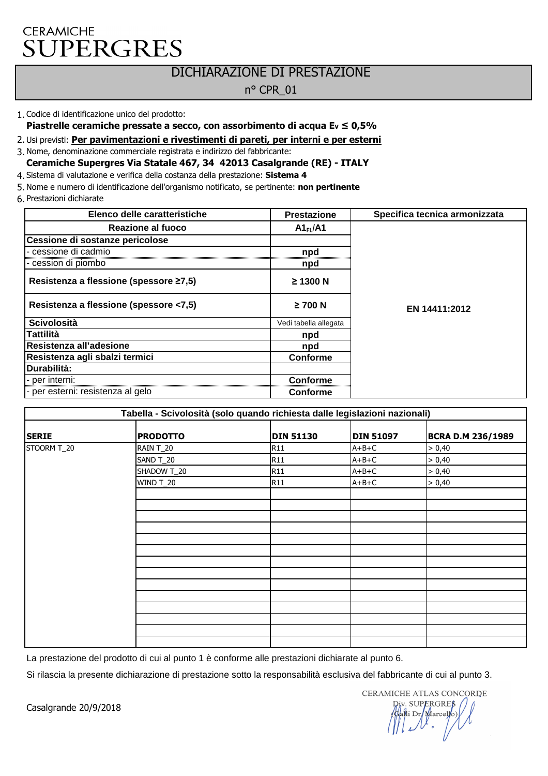## **CERAMICHE SUPERGRES**

## DICHIARAZIONE DI PRESTAZIONE

#### n° CPR\_01

#### 1. Codice di identificazione unico del prodotto:

**Piastrelle ceramiche pressate a secco, con assorbimento di acqua EV ≤ 0,5%**

2. Usi previsti: **Per pavimentazioni e rivestimenti di pareti, per interni e per esterni**

3. Nome, denominazione commerciale registrata e indirizzo del fabbricante:

**Ceramiche Supergres Via Statale 467, 34 42013 Casalgrande (RE) - ITALY**

4. Sistema di valutazione e verifica della costanza della prestazione: **Sistema 4**

5. Nome e numero di identificazione dell'organismo notificato, se pertinente: **non pertinente**

6. Prestazioni dichiarate

| Elenco delle caratteristiche           | <b>Prestazione</b>    | Specifica tecnica armonizzata |
|----------------------------------------|-----------------------|-------------------------------|
| Reazione al fuoco                      | A1 <sub>FI</sub> /A1  |                               |
| Cessione di sostanze pericolose        |                       |                               |
| - cessione di cadmio                   | npd                   |                               |
| - cession di piombo                    | npd                   |                               |
| Resistenza a flessione (spessore ≥7,5) | $\geq$ 1300 N         |                               |
| Resistenza a flessione (spessore <7,5) | $\geq$ 700 N          | EN 14411:2012                 |
| <b>Scivolosità</b>                     | Vedi tabella allegata |                               |
| Tattilità                              | npd                   |                               |
| Resistenza all'adesione                | npd                   |                               |
| Resistenza agli sbalzi termici         | Conforme              |                               |
| Durabilità:                            |                       |                               |
| - per interni:                         | <b>Conforme</b>       |                               |
| - per esterni: resistenza al gelo      | <b>Conforme</b>       |                               |

| Tabella - Scivolosità (solo quando richiesta dalle legislazioni nazionali) |                  |                  |                  |                          |
|----------------------------------------------------------------------------|------------------|------------------|------------------|--------------------------|
| <b>SERIE</b>                                                               | <b>PRODOTTO</b>  | <b>DIN 51130</b> | <b>DIN 51097</b> | <b>BCRA D.M 236/1989</b> |
| STOORM T_20                                                                | RAIN T_20        | <b>R11</b>       | $A+B+C$          | > 0,40                   |
|                                                                            | SAND T_20        | <b>R11</b>       | $A+B+C$          | > 0,40                   |
|                                                                            | SHADOW T_20      | <b>R11</b>       | $A+B+C$          | > 0,40                   |
|                                                                            | <b>WIND T_20</b> | <b>R11</b>       | $A+B+C$          | > 0,40                   |
|                                                                            |                  |                  |                  |                          |
|                                                                            |                  |                  |                  |                          |
|                                                                            |                  |                  |                  |                          |
|                                                                            |                  |                  |                  |                          |
|                                                                            |                  |                  |                  |                          |
|                                                                            |                  |                  |                  |                          |
|                                                                            |                  |                  |                  |                          |
|                                                                            |                  |                  |                  |                          |
|                                                                            |                  |                  |                  |                          |
|                                                                            |                  |                  |                  |                          |
|                                                                            |                  |                  |                  |                          |
|                                                                            |                  |                  |                  |                          |
|                                                                            |                  |                  |                  |                          |
|                                                                            |                  |                  |                  |                          |

La prestazione del prodotto di cui al punto 1 è conforme alle prestazioni dichiarate al punto 6.

Si rilascia la presente dichiarazione di prestazione sotto la responsabilità esclusiva del fabbricante di cui al punto 3.

CERAMICHE ATLAS CONCORDE v. SUPERGRES<br>||li Dr/Marcello)<br>|-

Casalgrande 20/9/2018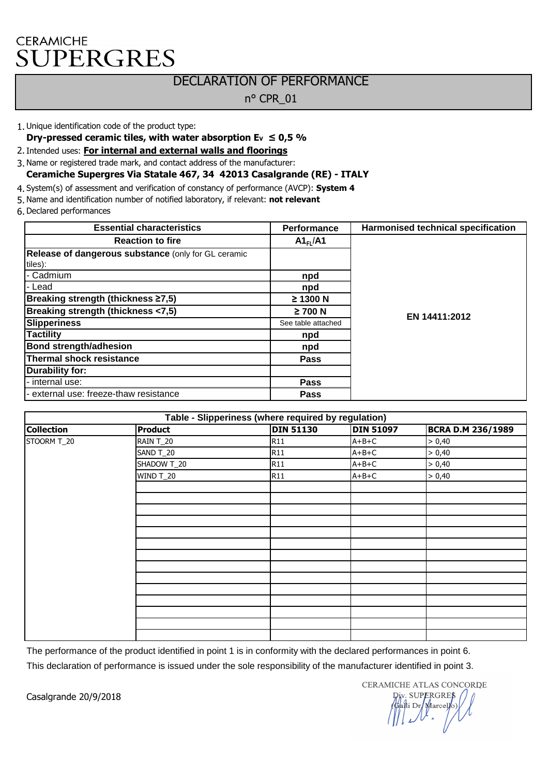# **CERAMICHE SUPERGRES**

### DECLARATION OF PERFORMANCE

#### n° CPR\_01

1. Unique identification code of the product type:

**Dry-pressed ceramic tiles, with water absorption**  $E_v \le 0.5$  **%** 

2. Intended uses: **For internal and external walls and floorings**

3. Name or registered trade mark, and contact address of the manufacturer:

#### **Ceramiche Supergres Via Statale 467, 34 42013 Casalgrande (RE) - ITALY**

4. System(s) of assessment and verification of constancy of performance (AVCP): **System 4**

5. Name and identification number of notified laboratory, if relevant: **not relevant**

6. Declared performances

| <b>Essential characteristics</b>                           | <b>Performance</b>   | Harmonised technical specification |
|------------------------------------------------------------|----------------------|------------------------------------|
| <b>Reaction to fire</b>                                    | A1 <sub>FI</sub> /A1 |                                    |
| <b>Release of dangerous substance</b> (only for GL ceramic |                      |                                    |
| tiles):                                                    |                      |                                    |
| - Cadmium                                                  | npd                  |                                    |
| l- Lead                                                    | npd                  |                                    |
| Breaking strength (thickness ≥7,5)                         | $\geq$ 1300 N        |                                    |
| Breaking strength (thickness <7,5)                         | $\geq$ 700 N         | EN 14411:2012                      |
| Slipperiness                                               | See table attached   |                                    |
| Tactility                                                  | npd                  |                                    |
| <b>Bond strength/adhesion</b>                              | npd                  |                                    |
| <b>Thermal shock resistance</b>                            | Pass                 |                                    |
| Durability for:                                            |                      |                                    |
| - internal use:                                            | Pass                 |                                    |
| - external use: freeze-thaw resistance                     | <b>Pass</b>          |                                    |

| Table - Slipperiness (where required by regulation) |                |                  |                  |                          |  |
|-----------------------------------------------------|----------------|------------------|------------------|--------------------------|--|
| <b>Collection</b>                                   | <b>Product</b> | <b>DIN 51130</b> | <b>DIN 51097</b> | <b>BCRA D.M 236/1989</b> |  |
| STOORM T_20                                         | RAIN T_20      | <b>R11</b>       | $A+B+C$          | > 0,40                   |  |
|                                                     | SAND T_20      | <b>R11</b>       | $A+B+C$          | > 0,40                   |  |
|                                                     | SHADOW T_20    | <b>R11</b>       | $A+B+C$          | > 0,40                   |  |
|                                                     | WIND T_20      | <b>R11</b>       | $A+B+C$          | > 0,40                   |  |
|                                                     |                |                  |                  |                          |  |
|                                                     |                |                  |                  |                          |  |
|                                                     |                |                  |                  |                          |  |
|                                                     |                |                  |                  |                          |  |
|                                                     |                |                  |                  |                          |  |
|                                                     |                |                  |                  |                          |  |
|                                                     |                |                  |                  |                          |  |
|                                                     |                |                  |                  |                          |  |
|                                                     |                |                  |                  |                          |  |
|                                                     |                |                  |                  |                          |  |
|                                                     |                |                  |                  |                          |  |
|                                                     |                |                  |                  |                          |  |
|                                                     |                |                  |                  |                          |  |
|                                                     |                |                  |                  |                          |  |

The performance of the product identified in point 1 is in conformity with the declared performances in point 6. This declaration of performance is issued under the sole responsibility of the manufacturer identified in point 3.

Casalgrande 20/9/2018

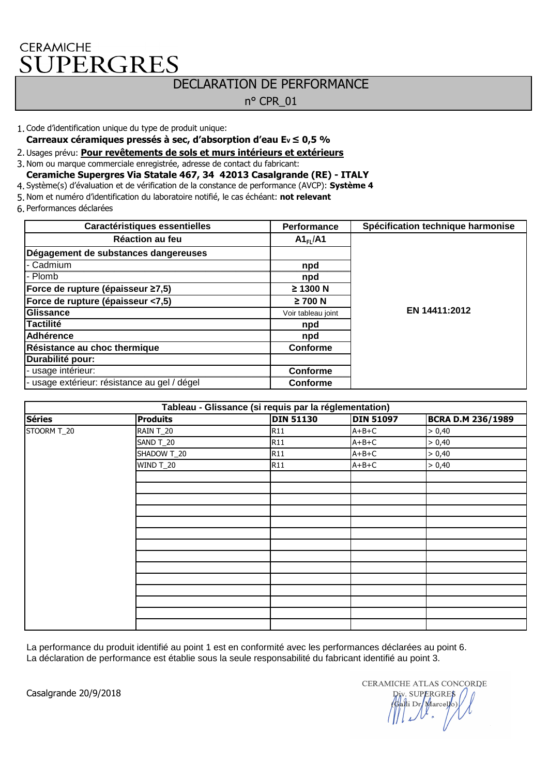## CERAMICHE UPERGRES

# DECLARATION DE PERFORMANCE

n° CPR\_01

- 1. Code d'identification unique du type de produit unique:
- **Carreaux céramiques pressés à sec, d'absorption d'eau EV ≤ 0,5 %**
- 2. Usages prévu: **Pour revêtements de sols et murs intérieurs et extérieurs**
- 3. Nom ou marque commerciale enregistrée, adresse de contact du fabricant:
- **Ceramiche Supergres Via Statale 467, 34 42013 Casalgrande (RE) ITALY**
- 4. Système(s) d'évaluation et de vérification de la constance de performance (AVCP): **Système 4**
- 5. Nom et numéro d'identification du laboratoire notifié, le cas échéant: **not relevant**
- 6. Performances déclarées

| Caractéristiques essentielles                | <b>Performance</b>   | Spécification technique harmonise |
|----------------------------------------------|----------------------|-----------------------------------|
| Réaction au feu                              | A1 <sub>FI</sub> /A1 |                                   |
| Dégagement de substances dangereuses         |                      |                                   |
| - Cadmium                                    | npd                  |                                   |
| - Plomb                                      | npd                  |                                   |
| Force de rupture (épaisseur ≥7,5)            | ≥ 1300 N             |                                   |
| Force de rupture (épaisseur <7,5)            | $\geq$ 700 N         |                                   |
| Glissance                                    | Voir tableau joint   | EN 14411:2012                     |
| <b>Tactilité</b>                             | npd                  |                                   |
| <b>Adhérence</b>                             | npd                  |                                   |
| Résistance au choc thermique                 | <b>Conforme</b>      |                                   |
| Durabilité pour:                             |                      |                                   |
| - usage intérieur:                           | <b>Conforme</b>      |                                   |
| - usage extérieur: résistance au gel / dégel | <b>Conforme</b>      |                                   |

| Tableau - Glissance (si requis par la réglementation) |                 |                  |                  |                          |  |
|-------------------------------------------------------|-----------------|------------------|------------------|--------------------------|--|
| <b>Séries</b>                                         | <b>Produits</b> | <b>DIN 51130</b> | <b>DIN 51097</b> | <b>BCRA D.M 236/1989</b> |  |
| STOORM T_20                                           | RAIN T_20       | <b>R11</b>       | $A+B+C$          | > 0,40                   |  |
|                                                       | SAND T_20       | <b>R11</b>       | $A+B+C$          | > 0,40                   |  |
|                                                       | SHADOW T_20     | <b>R11</b>       | $A+B+C$          | > 0,40                   |  |
|                                                       | WIND T_20       | <b>R11</b>       | $A+B+C$          | > 0,40                   |  |
|                                                       |                 |                  |                  |                          |  |
|                                                       |                 |                  |                  |                          |  |
|                                                       |                 |                  |                  |                          |  |
|                                                       |                 |                  |                  |                          |  |
|                                                       |                 |                  |                  |                          |  |
|                                                       |                 |                  |                  |                          |  |
|                                                       |                 |                  |                  |                          |  |
|                                                       |                 |                  |                  |                          |  |
|                                                       |                 |                  |                  |                          |  |
|                                                       |                 |                  |                  |                          |  |
|                                                       |                 |                  |                  |                          |  |
|                                                       |                 |                  |                  |                          |  |
|                                                       |                 |                  |                  |                          |  |
|                                                       |                 |                  |                  |                          |  |

La performance du produit identifié au point 1 est en conformité avec les performances déclarées au point 6. La déclaration de performance est établie sous la seule responsabilité du fabricant identifié au point 3.

Casalgrande 20/9/2018

CERAMICHE ATLAS CONCORDE SUPERGRES i Dr/Marcello)